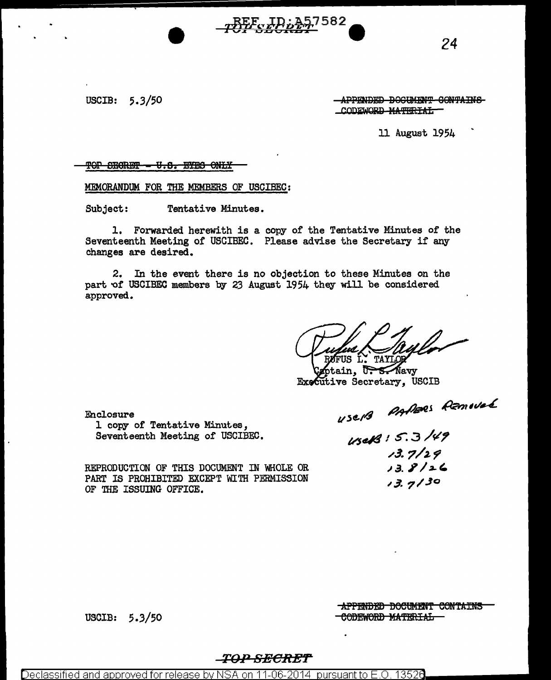USCIB: 5.3/50 APPENDED DOGUMENT CONTAINS CODEWORD MATERIAL

11 August 1954

TOP SEGRET = U.S. EYES ONLY

MEMORANDUM FOR THE MEMBERS OF USCIBEC:

Subject: Tentative Minutes.

1. Forwarded herewith is a copy of the Tentative Minutes of the Seventeenth Meeting of USCIBEC. Please advise the Secretary if any changes are desired.

 $\frac{p}{p}$  $\frac{p}{p}$  $\frac{p}{p}$  $\frac{p}{p}$  $\frac{p}{p}$  $\frac{p}{p}$  $\frac{p}{p}$  $\frac{p}{p}$  $\frac{p}{p}$  $\frac{p}{p}$ 

2. In the event there is no objection to these Minutes on the part of USCIBEC members by 23 August 1954 they will be considered approved.

,.. FUS L. TAYLOR

ptain,  $\sqrt{1 + 5}$  Navy Executive Secretary, USCIB

;?;9/leej ~,,t/-..L *vl«-t4* 

vsd/(9 I S: 3 */¢? ,,,J.* 7/J.f  $13.8/26$  $13.7/30$ 

Enclosure 1 copy of Tentative Minutes, Seventeenth Meeting of USCIBEC.

REPRODUCTION OF THIS DOCUMENT IN WHOLE OR PART IS PROHIBITED EXCEPT WITH PERMISSION OF THE ISSUING OFFICE.

USCIB:  $5.3/50$ 

**APPENDED DOCUMENT CONTAINS** CODEWORD MATERIAL

#### *TO-..." SBOR::ET*

Declassified and approved for release by NSA on 11-06-2014  $\,$  pursuant to E.O. 13526  $\,$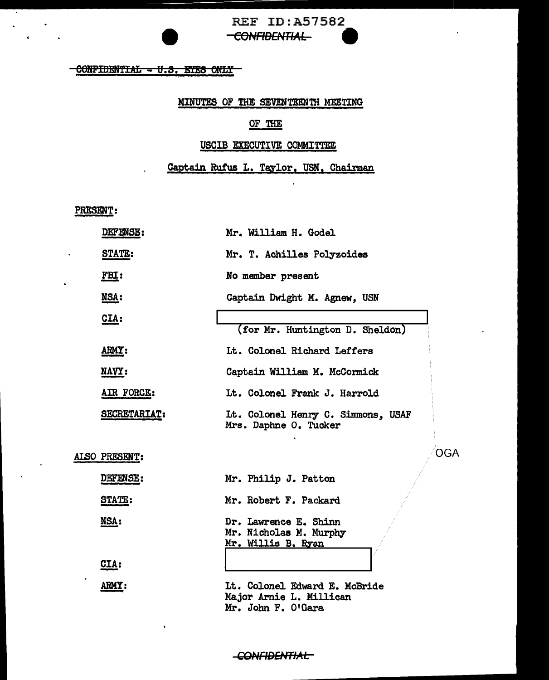# REF ID:A57582<br><del>CONFIDENTIAL</del>

## **CONFIDENTIAL - U.S. ETES ONLY**

#### MINUTES OF THE SEVENTEENTH MEETING

### OF THE

#### USCIB EXECUTIVE COMMITTEE

#### Captain Rufus L. Taylor, USN, Chairman

 $\ddot{\phantom{a}}$ 

PRESENT:

 $\bullet$ 

| DEFENSE:      | Mr. William H. Godel                                                           |
|---------------|--------------------------------------------------------------------------------|
| <u>STATE:</u> | Mr. T. Achilles Polyzoides                                                     |
| <u>FBI:</u>   | No member present                                                              |
| NSA:          | Captain Dwight M. Agnew, USN                                                   |
| CLA:          |                                                                                |
|               | (for Mr. Huntington D. Sheldon)                                                |
| ARMY:         | Lt. Colonel Richard Leffers                                                    |
| NAVY:         | Captain William M. McCormick                                                   |
| AIR FORCE:    | Lt. Colonel Frank J. Harrold                                                   |
| SECRETARIAT:  | Lt. Colonel Henry C. Simmons, USAF<br>Mrs. Daphne O. Tucker                    |
| ALSO PRESENT: | <b>OGA</b>                                                                     |
| DEFENSE:      | Mr. Philip J. Patton                                                           |
| STATE:        | Mr. Robert F. Packard                                                          |
| NSA:          | Dr. Lawrence E. Shinn<br>Mr. Nicholas M. Murphy<br>Mr. Willis B. Ryan          |
| CIA:          |                                                                                |
| ARMY:         | Lt. Colonel Edward E. McBride<br>Major Arnie L. Millican<br>Mr. John F. O'Gara |

-CONFIDENTIAL-